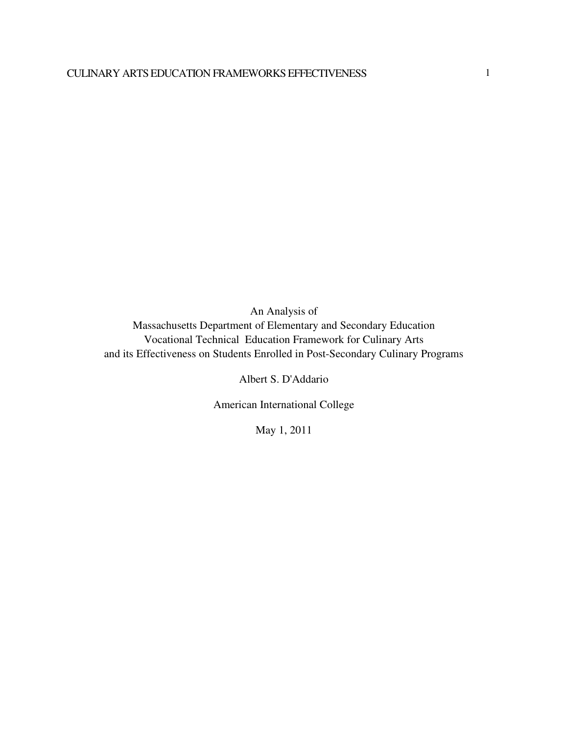An Analysis of Massachusetts Department of Elementary and Secondary Education Vocational Technical Education Framework for Culinary Arts and its Effectiveness on Students Enrolled in Post-Secondary Culinary Programs

Albert S. D'Addario

American International College

May 1, 2011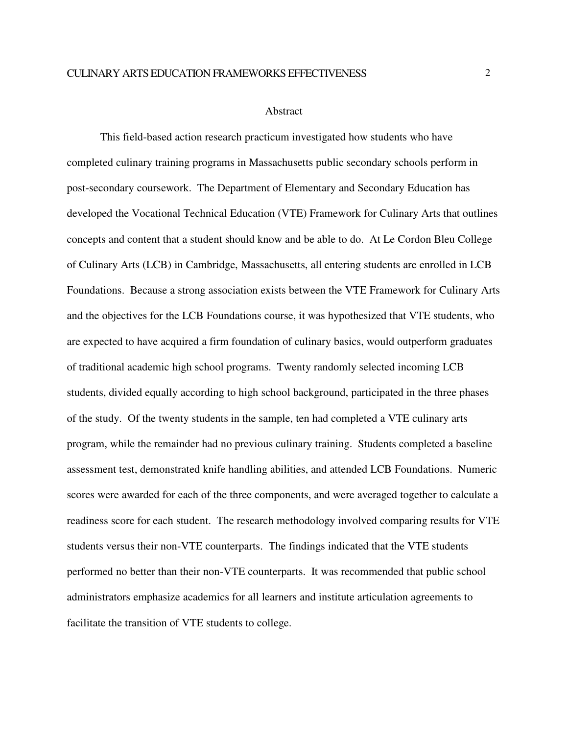#### Abstract

This field-based action research practicum investigated how students who have completed culinary training programs in Massachusetts public secondary schools perform in post-secondary coursework. The Department of Elementary and Secondary Education has developed the Vocational Technical Education (VTE) Framework for Culinary Arts that outlines concepts and content that a student should know and be able to do. At Le Cordon Bleu College of Culinary Arts (LCB) in Cambridge, Massachusetts, all entering students are enrolled in LCB Foundations. Because a strong association exists between the VTE Framework for Culinary Arts and the objectives for the LCB Foundations course, it was hypothesized that VTE students, who are expected to have acquired a firm foundation of culinary basics, would outperform graduates of traditional academic high school programs. Twenty randomly selected incoming LCB students, divided equally according to high school background, participated in the three phases of the study. Of the twenty students in the sample, ten had completed a VTE culinary arts program, while the remainder had no previous culinary training. Students completed a baseline assessment test, demonstrated knife handling abilities, and attended LCB Foundations. Numeric scores were awarded for each of the three components, and were averaged together to calculate a readiness score for each student. The research methodology involved comparing results for VTE students versus their non-VTE counterparts. The findings indicated that the VTE students performed no better than their non-VTE counterparts. It was recommended that public school administrators emphasize academics for all learners and institute articulation agreements to facilitate the transition of VTE students to college.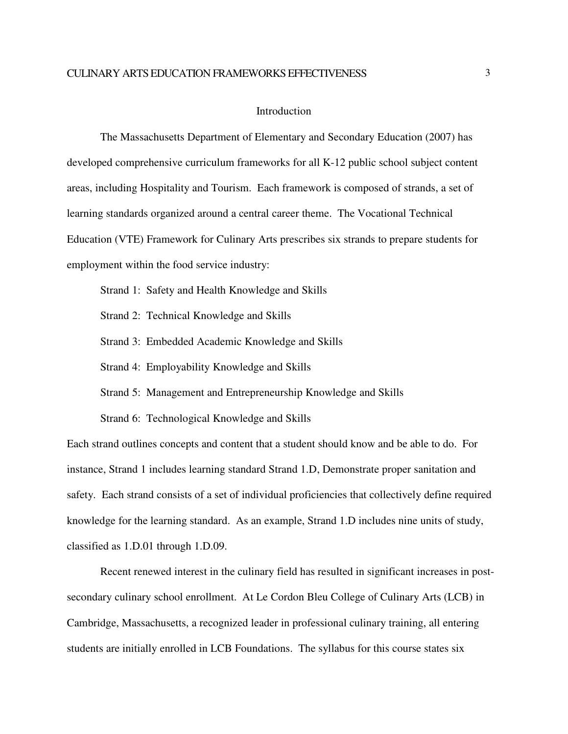#### **Introduction**

The Massachusetts Department of Elementary and Secondary Education (2007) has developed comprehensive curriculum frameworks for all K-12 public school subject content areas, including Hospitality and Tourism. Each framework is composed of strands, a set of learning standards organized around a central career theme. The Vocational Technical Education (VTE) Framework for Culinary Arts prescribes six strands to prepare students for employment within the food service industry:

Strand 1: Safety and Health Knowledge and Skills

Strand 2: Technical Knowledge and Skills

Strand 3: Embedded Academic Knowledge and Skills

Strand 4: Employability Knowledge and Skills

Strand 5: Management and Entrepreneurship Knowledge and Skills

Strand 6: Technological Knowledge and Skills

Each strand outlines concepts and content that a student should know and be able to do. For instance, Strand 1 includes learning standard Strand 1.D, Demonstrate proper sanitation and safety. Each strand consists of a set of individual proficiencies that collectively define required knowledge for the learning standard. As an example, Strand 1.D includes nine units of study, classified as 1.D.01 through 1.D.09.

Recent renewed interest in the culinary field has resulted in significant increases in postsecondary culinary school enrollment. At Le Cordon Bleu College of Culinary Arts (LCB) in Cambridge, Massachusetts, a recognized leader in professional culinary training, all entering students are initially enrolled in LCB Foundations. The syllabus for this course states six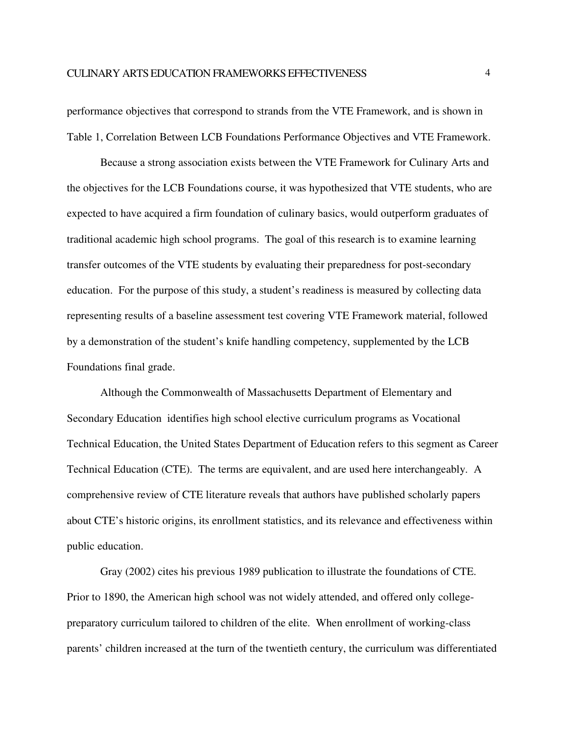performance objectives that correspond to strands from the VTE Framework, and is shown in Table 1, Correlation Between LCB Foundations Performance Objectives and VTE Framework.

Because a strong association exists between the VTE Framework for Culinary Arts and the objectives for the LCB Foundations course, it was hypothesized that VTE students, who are expected to have acquired a firm foundation of culinary basics, would outperform graduates of traditional academic high school programs. The goal of this research is to examine learning transfer outcomes of the VTE students by evaluating their preparedness for post-secondary education. For the purpose of this study, a student's readiness is measured by collecting data representing results of a baseline assessment test covering VTE Framework material, followed by a demonstration of the student's knife handling competency, supplemented by the LCB Foundations final grade.

Although the Commonwealth of Massachusetts Department of Elementary and Secondary Education identifies high school elective curriculum programs as Vocational Technical Education, the United States Department of Education refers to this segment as Career Technical Education (CTE). The terms are equivalent, and are used here interchangeably. A comprehensive review of CTE literature reveals that authors have published scholarly papers about CTE's historic origins, its enrollment statistics, and its relevance and effectiveness within public education.

Gray (2002) cites his previous 1989 publication to illustrate the foundations of CTE. Prior to 1890, the American high school was not widely attended, and offered only collegepreparatory curriculum tailored to children of the elite. When enrollment of working-class parents' children increased at the turn of the twentieth century, the curriculum was differentiated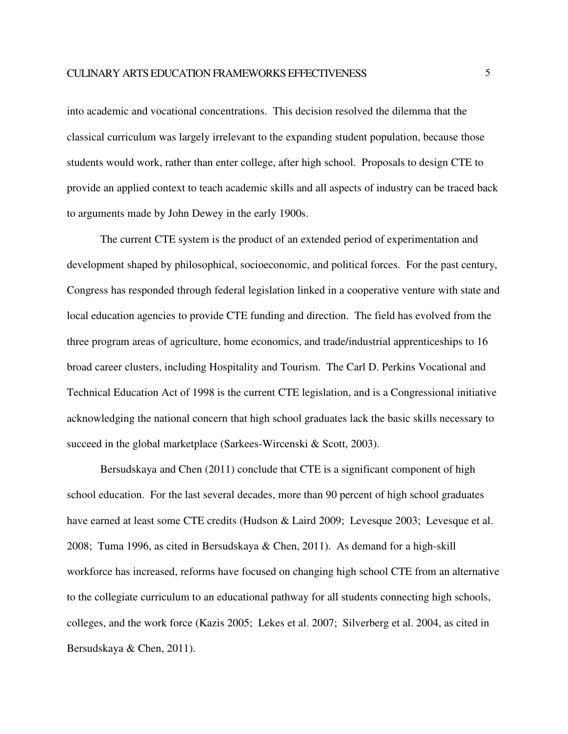into academic and vocational concentrations. This decision resolved the dilemma that the classical curriculum was largely irrelevant to the expanding student population, because those students would work, rather than enter college, after high school. Proposals to design CTE to provide an applied context to teach academic skills and all aspects of industry can be traced back to arguments made by John Dewey in the early 1900s.

The current CTE system is the product of an extended period of experimentation and development shaped by philosophical, socioeconomic, and political forces. For the past century, Congress has responded through federal legislation linked in a cooperative venture with state and local education agencies to provide CTE funding and direction. The field has evolved from the three program areas of agriculture, home economics, and trade/industrial apprenticeships to 16 broad career clusters, including Hospitality and Tourism. The Carl D. Perkins Vocational and Technical Education Act of 1998 is the current CTE legislation, and is a Congressional initiative acknowledging the national concern that high school graduates lack the basic skills necessary to succeed in the global marketplace (Sarkees-Wircenski & Scott, 2003).

Bersudskaya and Chen (2011) conclude that CTE is a significant component of high school education. For the last several decades, more than 90 percent of high school graduates have earned at least some CTE credits (Hudson & Laird 2009; Levesque 2003; Levesque et al. 2008; Tuma 1996, as cited in Bersudskaya & Chen, 2011). As demand for a high-skill workforce has increased, reforms have focused on changing high school CTE from an alternative to the collegiate curriculum to an educational pathway for all students connecting high schools, colleges, and the work force (Kazis 2005; Lekes et al. 2007; Silverberg et al. 2004, as cited in Bersudskaya & Chen, 2011).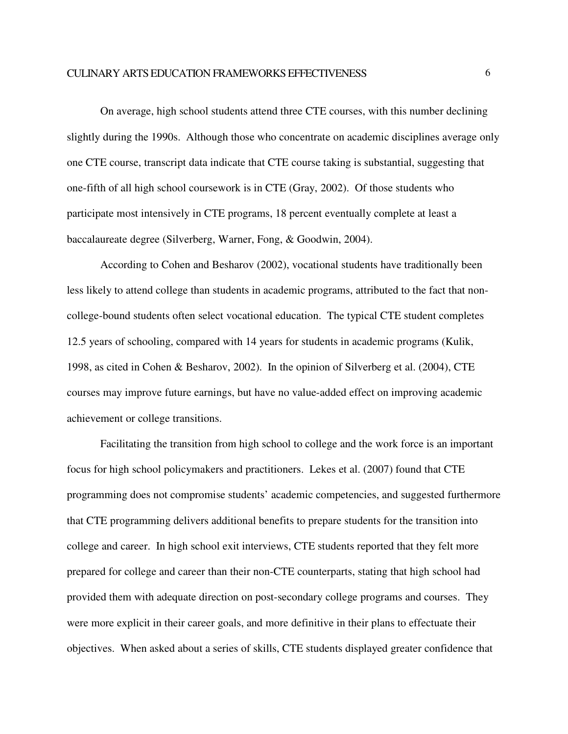On average, high school students attend three CTE courses, with this number declining slightly during the 1990s. Although those who concentrate on academic disciplines average only one CTE course, transcript data indicate that CTE course taking is substantial, suggesting that one-fifth of all high school coursework is in CTE (Gray, 2002). Of those students who participate most intensively in CTE programs, 18 percent eventually complete at least a baccalaureate degree (Silverberg, Warner, Fong, & Goodwin, 2004).

According to Cohen and Besharov (2002), vocational students have traditionally been less likely to attend college than students in academic programs, attributed to the fact that noncollege-bound students often select vocational education. The typical CTE student completes 12.5 years of schooling, compared with 14 years for students in academic programs (Kulik, 1998, as cited in Cohen & Besharov, 2002). In the opinion of Silverberg et al. (2004), CTE courses may improve future earnings, but have no value-added effect on improving academic achievement or college transitions.

Facilitating the transition from high school to college and the work force is an important focus for high school policymakers and practitioners. Lekes et al. (2007) found that CTE programming does not compromise students' academic competencies, and suggested furthermore that CTE programming delivers additional benefits to prepare students for the transition into college and career. In high school exit interviews, CTE students reported that they felt more prepared for college and career than their non-CTE counterparts, stating that high school had provided them with adequate direction on post-secondary college programs and courses. They were more explicit in their career goals, and more definitive in their plans to effectuate their objectives. When asked about a series of skills, CTE students displayed greater confidence that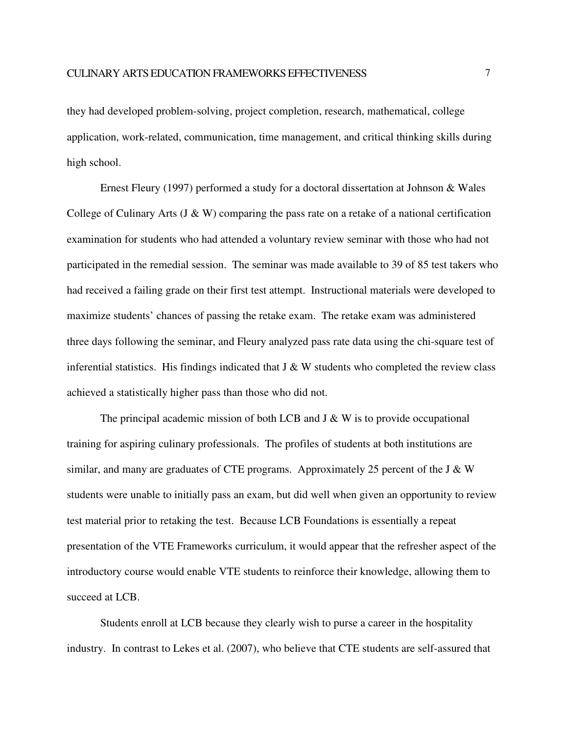they had developed problem-solving, project completion, research, mathematical, college application, work-related, communication, time management, and critical thinking skills during high school.

Ernest Fleury (1997) performed a study for a doctoral dissertation at Johnson & Wales College of Culinary Arts (J & W) comparing the pass rate on a retake of a national certification examination for students who had attended a voluntary review seminar with those who had not participated in the remedial session. The seminar was made available to 39 of 85 test takers who had received a failing grade on their first test attempt. Instructional materials were developed to maximize students' chances of passing the retake exam. The retake exam was administered three days following the seminar, and Fleury analyzed pass rate data using the chi-square test of inferential statistics. His findings indicated that  $J \& W$  students who completed the review class achieved a statistically higher pass than those who did not.

The principal academic mission of both LCB and  $J \& W$  is to provide occupational training for aspiring culinary professionals. The profiles of students at both institutions are similar, and many are graduates of CTE programs. Approximately 25 percent of the J & W students were unable to initially pass an exam, but did well when given an opportunity to review test material prior to retaking the test. Because LCB Foundations is essentially a repeat presentation of the VTE Frameworks curriculum, it would appear that the refresher aspect of the introductory course would enable VTE students to reinforce their knowledge, allowing them to succeed at LCB.

Students enroll at LCB because they clearly wish to purse a career in the hospitality industry. In contrast to Lekes et al. (2007), who believe that CTE students are self-assured that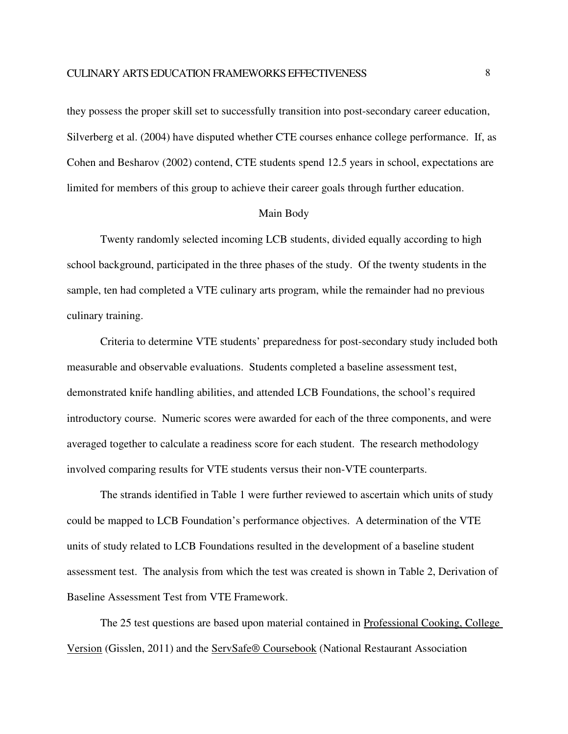they possess the proper skill set to successfully transition into post-secondary career education, Silverberg et al. (2004) have disputed whether CTE courses enhance college performance. If, as Cohen and Besharov (2002) contend, CTE students spend 12.5 years in school, expectations are limited for members of this group to achieve their career goals through further education.

### Main Body

Twenty randomly selected incoming LCB students, divided equally according to high school background, participated in the three phases of the study. Of the twenty students in the sample, ten had completed a VTE culinary arts program, while the remainder had no previous culinary training.

Criteria to determine VTE students' preparedness for post-secondary study included both measurable and observable evaluations. Students completed a baseline assessment test, demonstrated knife handling abilities, and attended LCB Foundations, the school's required introductory course. Numeric scores were awarded for each of the three components, and were averaged together to calculate a readiness score for each student. The research methodology involved comparing results for VTE students versus their non-VTE counterparts.

The strands identified in Table 1 were further reviewed to ascertain which units of study could be mapped to LCB Foundation's performance objectives. A determination of the VTE units of study related to LCB Foundations resulted in the development of a baseline student assessment test. The analysis from which the test was created is shown in Table 2, Derivation of Baseline Assessment Test from VTE Framework.

The 25 test questions are based upon material contained in Professional Cooking, College Version (Gisslen, 2011) and the ServSafe® Coursebook (National Restaurant Association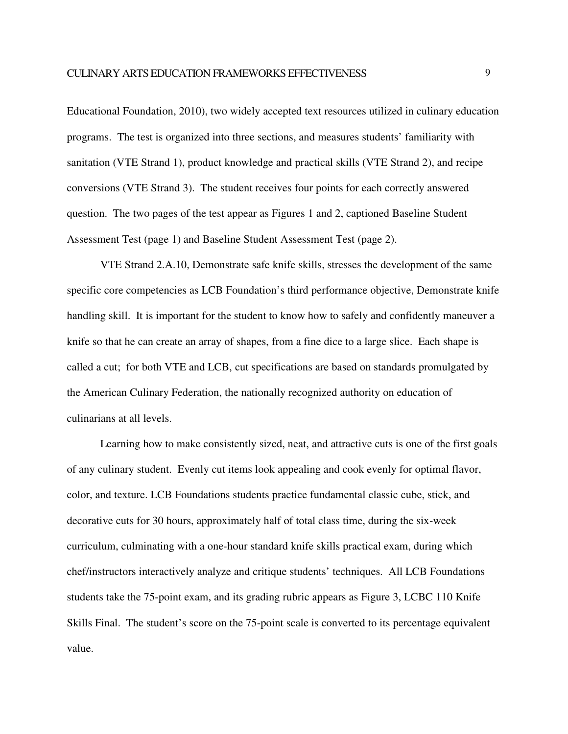Educational Foundation, 2010), two widely accepted text resources utilized in culinary education programs. The test is organized into three sections, and measures students' familiarity with sanitation (VTE Strand 1), product knowledge and practical skills (VTE Strand 2), and recipe conversions (VTE Strand 3). The student receives four points for each correctly answered question. The two pages of the test appear as Figures 1 and 2, captioned Baseline Student Assessment Test (page 1) and Baseline Student Assessment Test (page 2).

VTE Strand 2.A.10, Demonstrate safe knife skills, stresses the development of the same specific core competencies as LCB Foundation's third performance objective, Demonstrate knife handling skill. It is important for the student to know how to safely and confidently maneuver a knife so that he can create an array of shapes, from a fine dice to a large slice. Each shape is called a cut; for both VTE and LCB, cut specifications are based on standards promulgated by the American Culinary Federation, the nationally recognized authority on education of culinarians at all levels.

Learning how to make consistently sized, neat, and attractive cuts is one of the first goals of any culinary student. Evenly cut items look appealing and cook evenly for optimal flavor, color, and texture. LCB Foundations students practice fundamental classic cube, stick, and decorative cuts for 30 hours, approximately half of total class time, during the six-week curriculum, culminating with a one-hour standard knife skills practical exam, during which chef/instructors interactively analyze and critique students' techniques. All LCB Foundations students take the 75-point exam, and its grading rubric appears as Figure 3, LCBC 110 Knife Skills Final. The student's score on the 75-point scale is converted to its percentage equivalent value.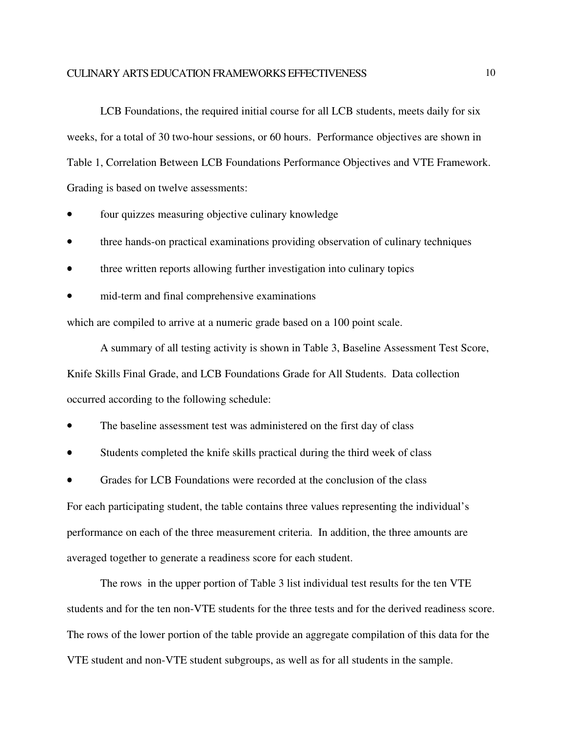### CULINARY ARTS EDUCATION FRAMEWORKS EFFECTIVENESS

LCB Foundations, the required initial course for all LCB students, meets daily for six weeks, for a total of 30 two-hour sessions, or 60 hours. Performance objectives are shown in Table 1, Correlation Between LCB Foundations Performance Objectives and VTE Framework. Grading is based on twelve assessments:

- four quizzes measuring objective culinary knowledge
- three hands-on practical examinations providing observation of culinary techniques
- three written reports allowing further investigation into culinary topics
- mid-term and final comprehensive examinations

which are compiled to arrive at a numeric grade based on a 100 point scale.

A summary of all testing activity is shown in Table 3, Baseline Assessment Test Score, Knife Skills Final Grade, and LCB Foundations Grade for All Students. Data collection occurred according to the following schedule:

- The baseline assessment test was administered on the first day of class
- Students completed the knife skills practical during the third week of class
- Grades for LCB Foundations were recorded at the conclusion of the class

For each participating student, the table contains three values representing the individual's performance on each of the three measurement criteria. In addition, the three amounts are averaged together to generate a readiness score for each student.

The rows in the upper portion of Table 3 list individual test results for the ten VTE students and for the ten non-VTE students for the three tests and for the derived readiness score. The rows of the lower portion of the table provide an aggregate compilation of this data for the VTE student and non-VTE student subgroups, as well as for all students in the sample.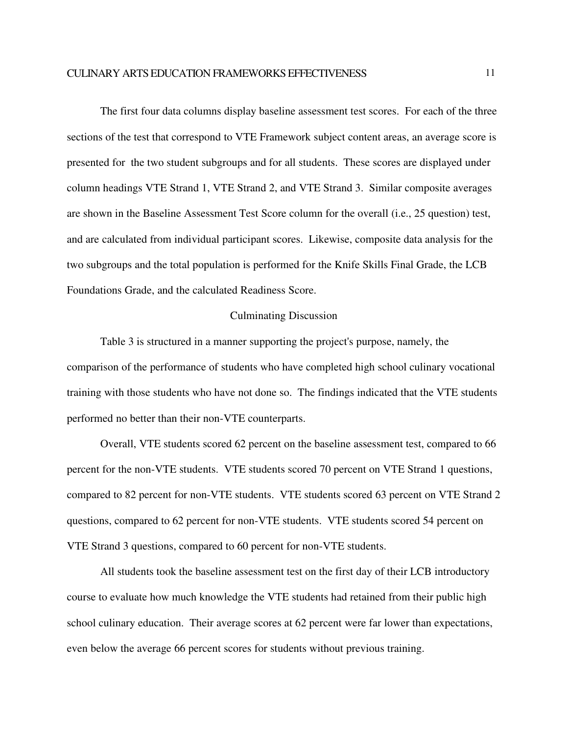The first four data columns display baseline assessment test scores. For each of the three sections of the test that correspond to VTE Framework subject content areas, an average score is presented for the two student subgroups and for all students. These scores are displayed under column headings VTE Strand 1, VTE Strand 2, and VTE Strand 3. Similar composite averages are shown in the Baseline Assessment Test Score column for the overall (i.e., 25 question) test, and are calculated from individual participant scores. Likewise, composite data analysis for the two subgroups and the total population is performed for the Knife Skills Final Grade, the LCB Foundations Grade, and the calculated Readiness Score.

### Culminating Discussion

Table 3 is structured in a manner supporting the project's purpose, namely, the comparison of the performance of students who have completed high school culinary vocational training with those students who have not done so. The findings indicated that the VTE students performed no better than their non-VTE counterparts.

Overall, VTE students scored 62 percent on the baseline assessment test, compared to 66 percent for the non-VTE students. VTE students scored 70 percent on VTE Strand 1 questions, compared to 82 percent for non-VTE students. VTE students scored 63 percent on VTE Strand 2 questions, compared to 62 percent for non-VTE students. VTE students scored 54 percent on VTE Strand 3 questions, compared to 60 percent for non-VTE students.

All students took the baseline assessment test on the first day of their LCB introductory course to evaluate how much knowledge the VTE students had retained from their public high school culinary education. Their average scores at 62 percent were far lower than expectations, even below the average 66 percent scores for students without previous training.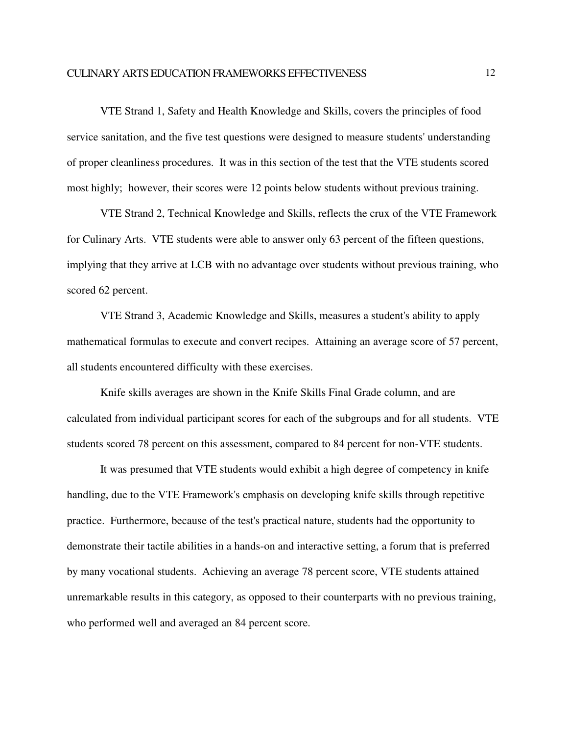VTE Strand 1, Safety and Health Knowledge and Skills, covers the principles of food service sanitation, and the five test questions were designed to measure students' understanding of proper cleanliness procedures. It was in this section of the test that the VTE students scored most highly; however, their scores were 12 points below students without previous training.

VTE Strand 2, Technical Knowledge and Skills, reflects the crux of the VTE Framework for Culinary Arts. VTE students were able to answer only 63 percent of the fifteen questions, implying that they arrive at LCB with no advantage over students without previous training, who scored 62 percent.

VTE Strand 3, Academic Knowledge and Skills, measures a student's ability to apply mathematical formulas to execute and convert recipes. Attaining an average score of 57 percent, all students encountered difficulty with these exercises.

Knife skills averages are shown in the Knife Skills Final Grade column, and are calculated from individual participant scores for each of the subgroups and for all students. VTE students scored 78 percent on this assessment, compared to 84 percent for non-VTE students.

It was presumed that VTE students would exhibit a high degree of competency in knife handling, due to the VTE Framework's emphasis on developing knife skills through repetitive practice. Furthermore, because of the test's practical nature, students had the opportunity to demonstrate their tactile abilities in a hands-on and interactive setting, a forum that is preferred by many vocational students. Achieving an average 78 percent score, VTE students attained unremarkable results in this category, as opposed to their counterparts with no previous training, who performed well and averaged an 84 percent score.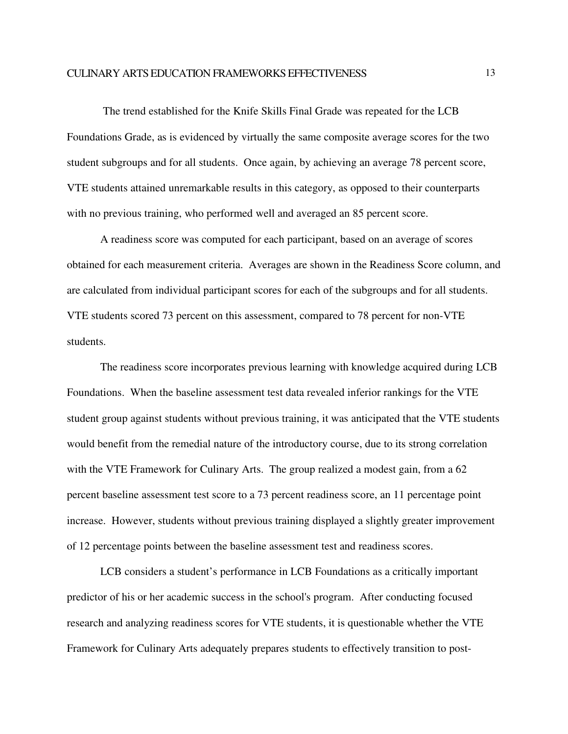The trend established for the Knife Skills Final Grade was repeated for the LCB Foundations Grade, as is evidenced by virtually the same composite average scores for the two student subgroups and for all students. Once again, by achieving an average 78 percent score, VTE students attained unremarkable results in this category, as opposed to their counterparts with no previous training, who performed well and averaged an 85 percent score.

A readiness score was computed for each participant, based on an average of scores obtained for each measurement criteria. Averages are shown in the Readiness Score column, and are calculated from individual participant scores for each of the subgroups and for all students. VTE students scored 73 percent on this assessment, compared to 78 percent for non-VTE students.

The readiness score incorporates previous learning with knowledge acquired during LCB Foundations. When the baseline assessment test data revealed inferior rankings for the VTE student group against students without previous training, it was anticipated that the VTE students would benefit from the remedial nature of the introductory course, due to its strong correlation with the VTE Framework for Culinary Arts. The group realized a modest gain, from a 62 percent baseline assessment test score to a 73 percent readiness score, an 11 percentage point increase. However, students without previous training displayed a slightly greater improvement of 12 percentage points between the baseline assessment test and readiness scores.

LCB considers a student's performance in LCB Foundations as a critically important predictor of his or her academic success in the school's program. After conducting focused research and analyzing readiness scores for VTE students, it is questionable whether the VTE Framework for Culinary Arts adequately prepares students to effectively transition to post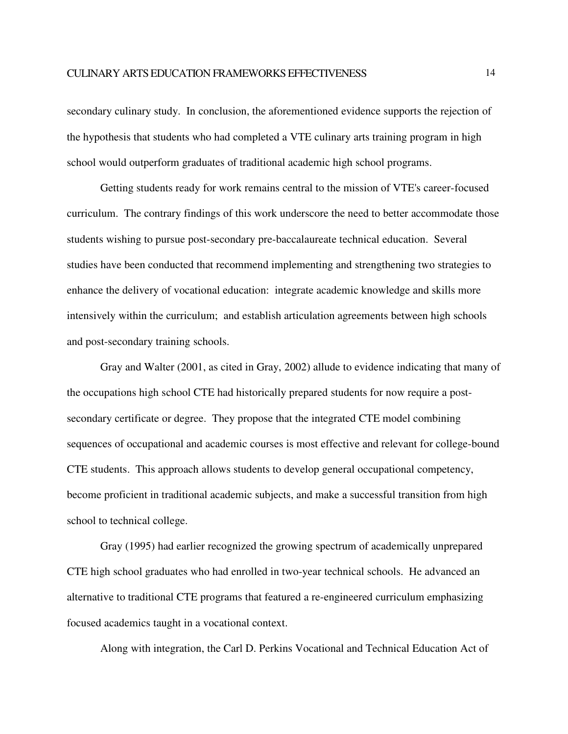secondary culinary study. In conclusion, the aforementioned evidence supports the rejection of the hypothesis that students who had completed a VTE culinary arts training program in high school would outperform graduates of traditional academic high school programs.

Getting students ready for work remains central to the mission of VTE's career-focused curriculum. The contrary findings of this work underscore the need to better accommodate those students wishing to pursue post-secondary pre-baccalaureate technical education. Several studies have been conducted that recommend implementing and strengthening two strategies to enhance the delivery of vocational education: integrate academic knowledge and skills more intensively within the curriculum; and establish articulation agreements between high schools and post-secondary training schools.

Gray and Walter (2001, as cited in Gray, 2002) allude to evidence indicating that many of the occupations high school CTE had historically prepared students for now require a postsecondary certificate or degree. They propose that the integrated CTE model combining sequences of occupational and academic courses is most effective and relevant for college-bound CTE students. This approach allows students to develop general occupational competency, become proficient in traditional academic subjects, and make a successful transition from high school to technical college.

Gray (1995) had earlier recognized the growing spectrum of academically unprepared CTE high school graduates who had enrolled in two-year technical schools. He advanced an alternative to traditional CTE programs that featured a re-engineered curriculum emphasizing focused academics taught in a vocational context.

Along with integration, the Carl D. Perkins Vocational and Technical Education Act of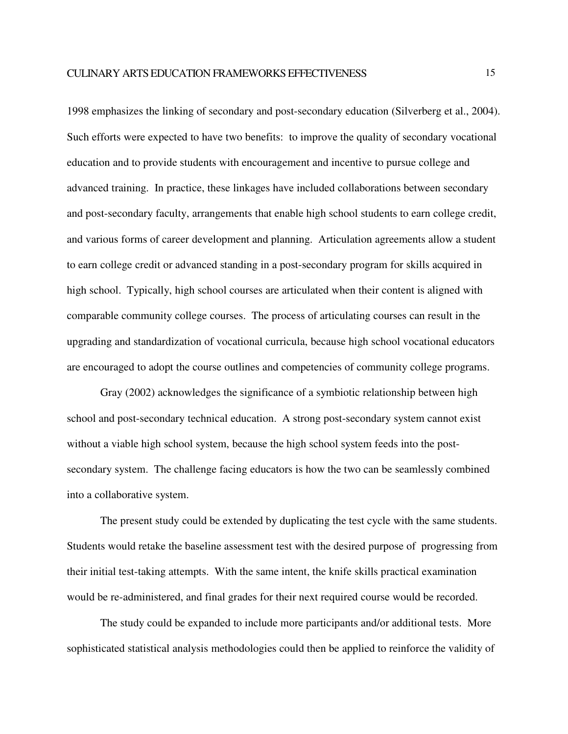1998 emphasizes the linking of secondary and post-secondary education (Silverberg et al., 2004). Such efforts were expected to have two benefits: to improve the quality of secondary vocational education and to provide students with encouragement and incentive to pursue college and advanced training. In practice, these linkages have included collaborations between secondary and post-secondary faculty, arrangements that enable high school students to earn college credit, and various forms of career development and planning. Articulation agreements allow a student to earn college credit or advanced standing in a post-secondary program for skills acquired in high school. Typically, high school courses are articulated when their content is aligned with comparable community college courses. The process of articulating courses can result in the upgrading and standardization of vocational curricula, because high school vocational educators are encouraged to adopt the course outlines and competencies of community college programs.

Gray (2002) acknowledges the significance of a symbiotic relationship between high school and post-secondary technical education. A strong post-secondary system cannot exist without a viable high school system, because the high school system feeds into the postsecondary system. The challenge facing educators is how the two can be seamlessly combined into a collaborative system.

The present study could be extended by duplicating the test cycle with the same students. Students would retake the baseline assessment test with the desired purpose of progressing from their initial test-taking attempts. With the same intent, the knife skills practical examination would be re-administered, and final grades for their next required course would be recorded.

The study could be expanded to include more participants and/or additional tests. More sophisticated statistical analysis methodologies could then be applied to reinforce the validity of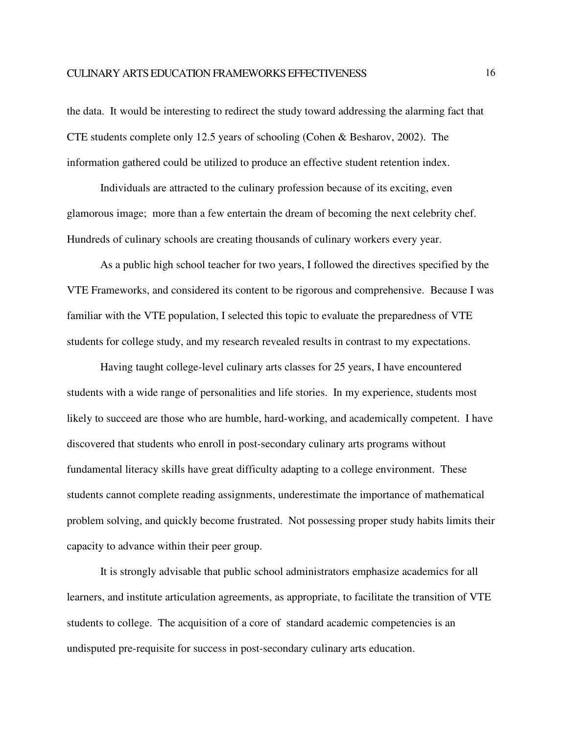the data. It would be interesting to redirect the study toward addressing the alarming fact that CTE students complete only 12.5 years of schooling (Cohen & Besharov, 2002). The information gathered could be utilized to produce an effective student retention index.

Individuals are attracted to the culinary profession because of its exciting, even glamorous image; more than a few entertain the dream of becoming the next celebrity chef. Hundreds of culinary schools are creating thousands of culinary workers every year.

As a public high school teacher for two years, I followed the directives specified by the VTE Frameworks, and considered its content to be rigorous and comprehensive. Because I was familiar with the VTE population, I selected this topic to evaluate the preparedness of VTE students for college study, and my research revealed results in contrast to my expectations.

Having taught college-level culinary arts classes for 25 years, I have encountered students with a wide range of personalities and life stories. In my experience, students most likely to succeed are those who are humble, hard-working, and academically competent. I have discovered that students who enroll in post-secondary culinary arts programs without fundamental literacy skills have great difficulty adapting to a college environment. These students cannot complete reading assignments, underestimate the importance of mathematical problem solving, and quickly become frustrated. Not possessing proper study habits limits their capacity to advance within their peer group.

It is strongly advisable that public school administrators emphasize academics for all learners, and institute articulation agreements, as appropriate, to facilitate the transition of VTE students to college. The acquisition of a core of standard academic competencies is an undisputed pre-requisite for success in post-secondary culinary arts education.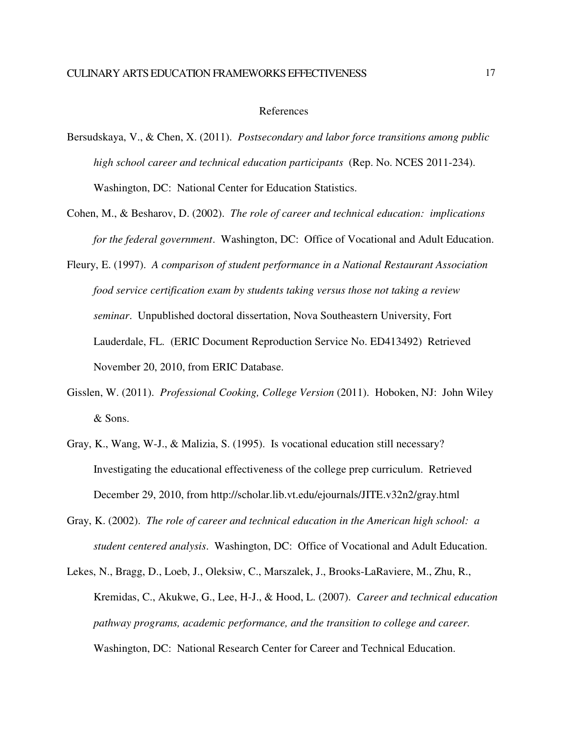### References

- Bersudskaya, V., & Chen, X. (2011). *Postsecondary and labor force transitions among public high school career and technical education participants* (Rep. No. NCES 2011-234). Washington, DC: National Center for Education Statistics.
- Cohen, M., & Besharov, D. (2002). *The role of career and technical education: implications for the federal government*. Washington, DC: Office of Vocational and Adult Education.
- Fleury, E. (1997). *A comparison of student performance in a National Restaurant Association food service certification exam by students taking versus those not taking a review seminar*. Unpublished doctoral dissertation, Nova Southeastern University, Fort Lauderdale, FL. (ERIC Document Reproduction Service No. ED413492) Retrieved November 20, 2010, from ERIC Database.
- Gisslen, W. (2011). *Professional Cooking, College Version* (2011). Hoboken, NJ: John Wiley & Sons.
- Gray, K., Wang, W-J., & Malizia, S. (1995). Is vocational education still necessary? Investigating the educational effectiveness of the college prep curriculum. Retrieved December 29, 2010, from http://scholar.lib.vt.edu/ejournals/JITE.v32n2/gray.html
- Gray, K. (2002). *The role of career and technical education in the American high school: a student centered analysis*. Washington, DC: Office of Vocational and Adult Education.
- Lekes, N., Bragg, D., Loeb, J., Oleksiw, C., Marszalek, J., Brooks-LaRaviere, M., Zhu, R., Kremidas, C., Akukwe, G., Lee, H-J., & Hood, L. (2007). *Career and technical education pathway programs, academic performance, and the transition to college and career.*  Washington, DC: National Research Center for Career and Technical Education.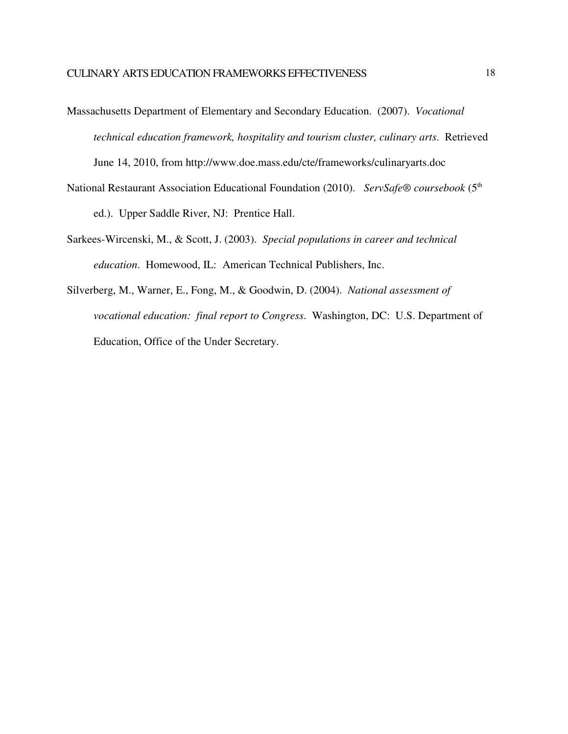- Massachusetts Department of Elementary and Secondary Education. (2007). *Vocational technical education framework, hospitality and tourism cluster, culinary arts*. Retrieved June 14, 2010, from http://www.doe.mass.edu/cte/frameworks/culinaryarts.doc
- National Restaurant Association Educational Foundation (2010). *ServSafe® coursebook* (5<sup>th</sup> ed.). Upper Saddle River, NJ: Prentice Hall.
- Sarkees-Wircenski, M., & Scott, J. (2003). *Special populations in career and technical education*. Homewood, IL: American Technical Publishers, Inc.
- Silverberg, M., Warner, E., Fong, M., & Goodwin, D. (2004). *National assessment of vocational education: final report to Congress*. Washington, DC: U.S. Department of Education, Office of the Under Secretary.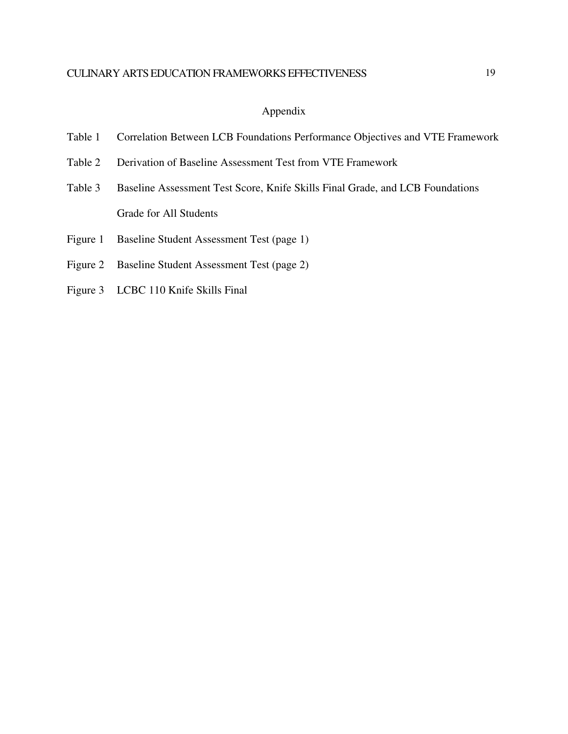## Appendix

- Table 1 Correlation Between LCB Foundations Performance Objectives and VTE Framework
- Table 2 Derivation of Baseline Assessment Test from VTE Framework
- Table 3 Baseline Assessment Test Score, Knife Skills Final Grade, and LCB Foundations Grade for All Students
- Figure 1 Baseline Student Assessment Test (page 1)
- Figure 2 Baseline Student Assessment Test (page 2)
- Figure 3 LCBC 110 Knife Skills Final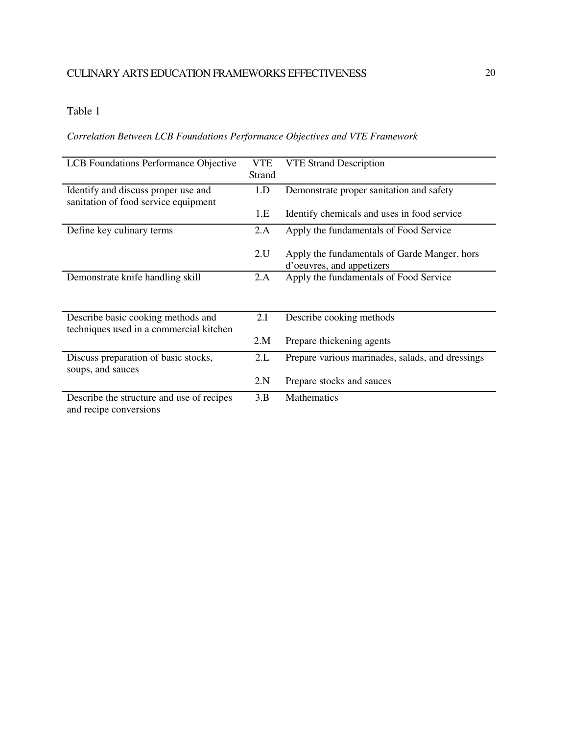## Table 1

## *Correlation Between LCB Foundations Performance Objectives and VTE Framework*

| LCB Foundations Performance Objective     | VTE    | <b>VTE Strand Description</b>                    |
|-------------------------------------------|--------|--------------------------------------------------|
|                                           | Strand |                                                  |
| Identify and discuss proper use and       | 1.D    | Demonstrate proper sanitation and safety         |
| sanitation of food service equipment      |        |                                                  |
|                                           | 1.E    | Identify chemicals and uses in food service      |
| Define key culinary terms                 | 2.A    | Apply the fundamentals of Food Service           |
|                                           |        |                                                  |
|                                           | 2.U    | Apply the fundamentals of Garde Manger, hors     |
|                                           |        | d'oeuvres, and appetizers                        |
| Demonstrate knife handling skill          | 2.A    | Apply the fundamentals of Food Service           |
|                                           |        |                                                  |
|                                           |        |                                                  |
| Describe basic cooking methods and        | 2.I    | Describe cooking methods                         |
| techniques used in a commercial kitchen   |        |                                                  |
|                                           | 2.M    | Prepare thickening agents                        |
| Discuss preparation of basic stocks,      | 2.L    | Prepare various marinades, salads, and dressings |
| soups, and sauces                         |        |                                                  |
|                                           | 2.N    | Prepare stocks and sauces                        |
| Describe the structure and use of recipes | 3.B    | <b>Mathematics</b>                               |
| and recipe conversions                    |        |                                                  |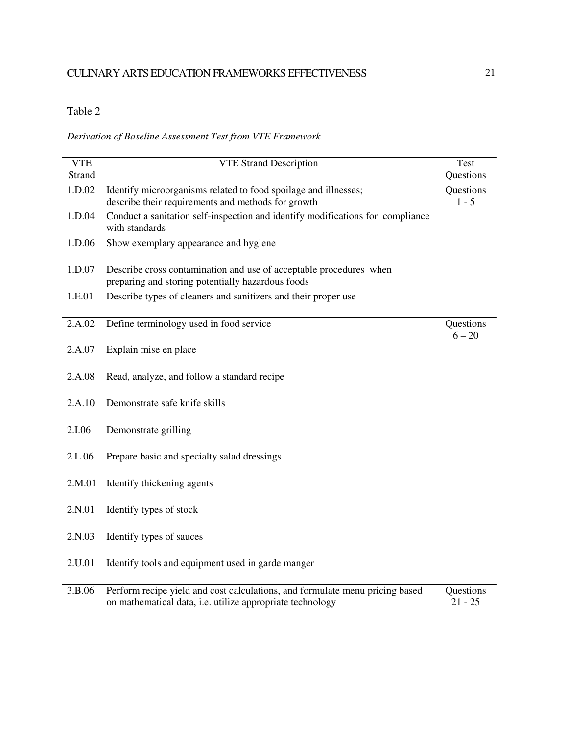## Table 2

## *Derivation of Baseline Assessment Test from VTE Framework*

| <b>VTE</b><br><b>Strand</b> | <b>VTE Strand Description</b>                                                                                           | Test<br>Questions     |
|-----------------------------|-------------------------------------------------------------------------------------------------------------------------|-----------------------|
| 1.D.02                      | Identify microorganisms related to food spoilage and illnesses;<br>describe their requirements and methods for growth   | Questions<br>$1 - 5$  |
| 1.D.04                      | Conduct a sanitation self-inspection and identify modifications for compliance<br>with standards                        |                       |
| 1.D.06                      | Show exemplary appearance and hygiene                                                                                   |                       |
| 1.D.07                      | Describe cross contamination and use of acceptable procedures when<br>preparing and storing potentially hazardous foods |                       |
| 1.E.01                      | Describe types of cleaners and sanitizers and their proper use                                                          |                       |
| 2.A.02                      | Define terminology used in food service                                                                                 | Questions<br>$6 - 20$ |
| 2.A.07                      | Explain mise en place                                                                                                   |                       |
| 2.A.08                      | Read, analyze, and follow a standard recipe                                                                             |                       |
| 2.A.10                      | Demonstrate safe knife skills                                                                                           |                       |
| 2.I.06                      | Demonstrate grilling                                                                                                    |                       |
| 2.L.06                      | Prepare basic and specialty salad dressings                                                                             |                       |
| 2.M.01                      | Identify thickening agents                                                                                              |                       |
| 2.N.01                      | Identify types of stock                                                                                                 |                       |
| 2.N.03                      | Identify types of sauces                                                                                                |                       |
| 2.U.01                      | Identify tools and equipment used in garde manger                                                                       |                       |
| 2 D Q G                     | Dorform regine yield and east explainting and formulate many priging based                                              | Questions             |

<sup>3.</sup>B.06 Perform recipe yield and cost calculations, and formulate menu pricing based on mathematical data, i.e. utilize appropriate technology Questions  $21 - 25$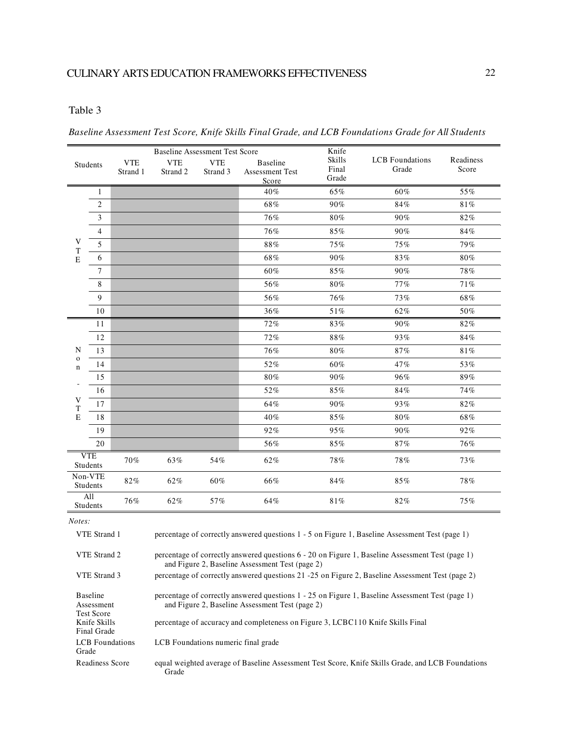## Table 3

Final Grade

Grade

LCB Foundations

|                                                                                                                                                                       |                                                    | <b>Baseline Assessment Test Score</b> |            |            | Knife                                                                           |                |                                                                                                  |           |
|-----------------------------------------------------------------------------------------------------------------------------------------------------------------------|----------------------------------------------------|---------------------------------------|------------|------------|---------------------------------------------------------------------------------|----------------|--------------------------------------------------------------------------------------------------|-----------|
|                                                                                                                                                                       | Students                                           | <b>VTE</b>                            | <b>VTE</b> | <b>VTE</b> | <b>Baseline</b>                                                                 | Skills         | <b>LCB</b> Foundations                                                                           | Readiness |
|                                                                                                                                                                       |                                                    | Strand 1                              | Strand 2   | Strand 3   | <b>Assessment Test</b>                                                          | Final<br>Grade | Grade                                                                                            | Score     |
|                                                                                                                                                                       | $\mathbf{1}$                                       |                                       |            |            | Score<br>40%                                                                    | 65%            | 60%                                                                                              | 55%       |
|                                                                                                                                                                       | $\overline{c}$                                     |                                       |            |            | 68%                                                                             | 90%            | 84%                                                                                              | 81%       |
|                                                                                                                                                                       | 3                                                  |                                       |            |            | 76%                                                                             | 80%            | 90%                                                                                              | 82%       |
| V<br>T<br>$\mathbf E$                                                                                                                                                 | $\overline{4}$                                     |                                       |            |            | 76%                                                                             | 85%            | 90%                                                                                              | $84\%$    |
|                                                                                                                                                                       | 5                                                  |                                       |            |            | $88\%$                                                                          | 75%            | 75%                                                                                              | 79%       |
|                                                                                                                                                                       | 6                                                  |                                       |            |            | 68%                                                                             | 90%            | 83%                                                                                              | 80%       |
|                                                                                                                                                                       | $\overline{7}$                                     |                                       |            |            | 60%                                                                             | 85%            | 90%                                                                                              | 78%       |
|                                                                                                                                                                       | 8                                                  |                                       |            |            | 56%                                                                             | 80%            | 77%                                                                                              | 71%       |
|                                                                                                                                                                       | 9                                                  |                                       |            |            | 56%                                                                             | 76%            | 73%                                                                                              | 68%       |
|                                                                                                                                                                       | 10                                                 |                                       |            |            | 36%                                                                             | 51%            | 62%                                                                                              | 50%       |
| N                                                                                                                                                                     | 11                                                 |                                       |            |            | 72%                                                                             | 83%            | 90%                                                                                              | 82%       |
|                                                                                                                                                                       | 12                                                 |                                       |            |            | 72%                                                                             | 88%            | 93%                                                                                              | 84%       |
|                                                                                                                                                                       | 13                                                 |                                       |            |            | 76%                                                                             | 80%            | 87%                                                                                              | 81%       |
| $\mathbf 0$<br>$\mathbf n$                                                                                                                                            | 14                                                 |                                       |            |            | 52%                                                                             | 60%            | 47%                                                                                              | 53%       |
|                                                                                                                                                                       | 15                                                 |                                       |            |            | 80%                                                                             | 90%            | 96%                                                                                              | 89%       |
|                                                                                                                                                                       | 16                                                 |                                       |            |            | 52%                                                                             | 85%            | 84%                                                                                              | 74%       |
| V<br>T                                                                                                                                                                | 17                                                 |                                       |            |            | 64%                                                                             | 90%            | 93%                                                                                              | 82%       |
| E                                                                                                                                                                     | 18                                                 |                                       |            |            | 40%                                                                             | 85%            | 80%                                                                                              | 68%       |
|                                                                                                                                                                       | 19                                                 |                                       |            |            | 92%                                                                             | 95%            | 90%                                                                                              | 92%       |
|                                                                                                                                                                       | 20                                                 |                                       |            |            | 56%                                                                             | 85%            | 87%                                                                                              | 76%       |
|                                                                                                                                                                       | <b>VTE</b><br><b>Students</b>                      | 70%                                   | 63%        | 54%        | 62%                                                                             | 78%            | 78%                                                                                              | 73%       |
|                                                                                                                                                                       | Non-VTE<br><b>Students</b>                         | 82%                                   | 62%        | 60%        | 66%                                                                             | 84%            | 85%                                                                                              | 78%       |
|                                                                                                                                                                       | All<br>Students                                    | 76%                                   | 62%        | 57%        | 64%                                                                             | 81%            | 82%                                                                                              | 75%       |
| Notes:                                                                                                                                                                |                                                    |                                       |            |            |                                                                                 |                |                                                                                                  |           |
|                                                                                                                                                                       | VTE Strand 1                                       |                                       |            |            |                                                                                 |                | percentage of correctly answered questions 1 - 5 on Figure 1, Baseline Assessment Test (page 1)  |           |
|                                                                                                                                                                       |                                                    |                                       |            |            |                                                                                 |                |                                                                                                  |           |
| VTE Strand 2<br>percentage of correctly answered questions $6 - 20$ on Figure 1, Baseline Assessment Test (page 1)<br>and Figure 2, Baseline Assessment Test (page 2) |                                                    |                                       |            |            |                                                                                 |                |                                                                                                  |           |
| VTE Strand 3<br>percentage of correctly answered questions 21 -25 on Figure 2, Baseline Assessment Test (page 2)                                                      |                                                    |                                       |            |            |                                                                                 |                |                                                                                                  |           |
|                                                                                                                                                                       | <b>Baseline</b><br>Assessment<br><b>Test Score</b> |                                       |            |            | and Figure 2, Baseline Assessment Test (page 2)                                 |                | percentage of correctly answered questions 1 - 25 on Figure 1, Baseline Assessment Test (page 1) |           |
|                                                                                                                                                                       | Knife Skills                                       |                                       |            |            | percentage of accuracy and completeness on Figure 3, LCBC110 Knife Skills Final |                |                                                                                                  |           |

*Baseline Assessment Test Score, Knife Skills Final Grade, and LCB Foundations Grade for All Students*

equal weighted average of Baseline Assessment Test Score, Knife Skills Grade, and LCB Foundations Grade Readiness Score

LCB Foundations numeric final grade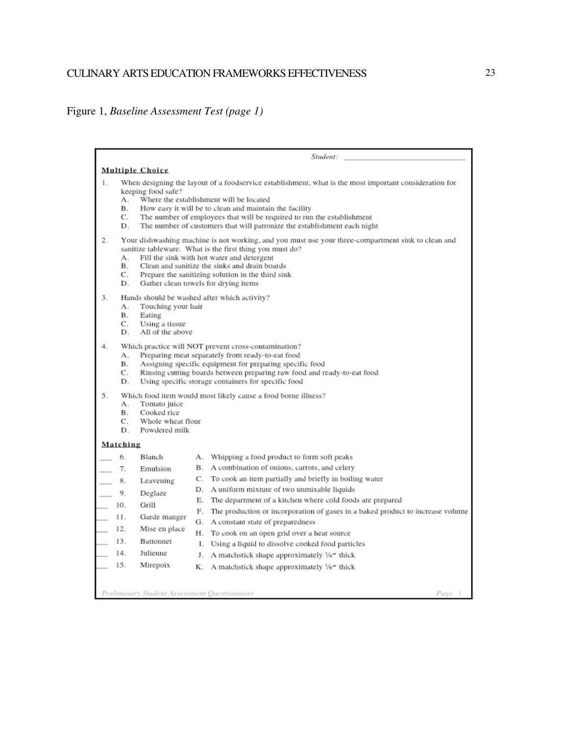## CULINARY ARTS EDUCATION FRAMEWORKS EFFECTIVENESS

# Figure 1, *Baseline Assessment Test (page 1)*

|                                                          |                                                                                                                                 | Student:                                                                                                                                                                                                                                                                                                                                                                                                                                                                                                                                                                                                                           |
|----------------------------------------------------------|---------------------------------------------------------------------------------------------------------------------------------|------------------------------------------------------------------------------------------------------------------------------------------------------------------------------------------------------------------------------------------------------------------------------------------------------------------------------------------------------------------------------------------------------------------------------------------------------------------------------------------------------------------------------------------------------------------------------------------------------------------------------------|
|                                                          | <b>Multiple Choice</b>                                                                                                          |                                                                                                                                                                                                                                                                                                                                                                                                                                                                                                                                                                                                                                    |
| 1.                                                       | keeping food safe?<br>А.<br>В.<br>C.<br>D.                                                                                      | When designing the layout of a foodservice establishment, what is the most important consideration for<br>Where the establishment will be located<br>How easy it will be to clean and maintain the facility<br>The number of employees that will be required to run the establishment<br>The number of customers that will patronize the establishment each night                                                                                                                                                                                                                                                                  |
| 2.                                                       | А.<br>В.<br>C.<br>D.                                                                                                            | Your dishwashing machine is not working, and you must use your three-compartment sink to clean and<br>sanitize tableware. What is the first thing you must do?<br>Fill the sink with hot water and detergent<br>Clean and sanitize the sinks and drain boards<br>Prepare the sanitizing solution in the third sink<br>Gather clean towels for drying items                                                                                                                                                                                                                                                                         |
| 3.                                                       | А.<br>Touching your hair<br>В.<br>Eating<br>C.<br>Using a tissue<br>D.<br>All of the above                                      | Hands should be washed after which activity?                                                                                                                                                                                                                                                                                                                                                                                                                                                                                                                                                                                       |
| 4.                                                       | А.<br>В.<br>C.<br>D.                                                                                                            | Which practice will NOT prevent cross-contamination?<br>Preparing meat separately from ready-to-eat food<br>Assigning specific equipment for preparing specific food<br>Rinsing cutting boards between preparing raw food and ready-to-eat food<br>Using specific storage containers for specific food                                                                                                                                                                                                                                                                                                                             |
| 5.                                                       | А.<br>Tomato juice<br>В.<br>Cooked rice<br>C.<br>Whole wheat flour<br>D.<br>Powdered milk                                       | Which food item would most likely cause a food borne illness?                                                                                                                                                                                                                                                                                                                                                                                                                                                                                                                                                                      |
| Matching                                                 |                                                                                                                                 |                                                                                                                                                                                                                                                                                                                                                                                                                                                                                                                                                                                                                                    |
| 7.<br>8.<br>9.<br>10.<br>11.<br>12.<br>13.<br>14.<br>15. | 6.<br>Blanch<br>Emulsion<br>Leavening<br>Deglaze<br>Grill<br>Garde manger<br>Mise en place<br>Battonnet<br>Julienne<br>Mirepoix | A. Whipping a food product to form soft peaks<br>B. A combination of onions, carrots, and celery<br>C. To cook an item partially and briefly in boiling water<br>D. A uniform mixture of two unmixable liquids<br>E. The department of a kitchen where cold foods are prepared<br>F. The production or incorporation of gases in a baked product to increase volume<br>G. A constant state of preparedness<br>H. To cook on an open grid over a heat source<br>Ι.<br>Using a liquid to dissolve cooked food particles<br>J. A matchstick shape approximately $\frac{1}{4}$ thick<br>K. A matchstick shape approximately 1/8" thick |
|                                                          | Preliminary Student Assessment Ouestionnaire                                                                                    | Page                                                                                                                                                                                                                                                                                                                                                                                                                                                                                                                                                                                                                               |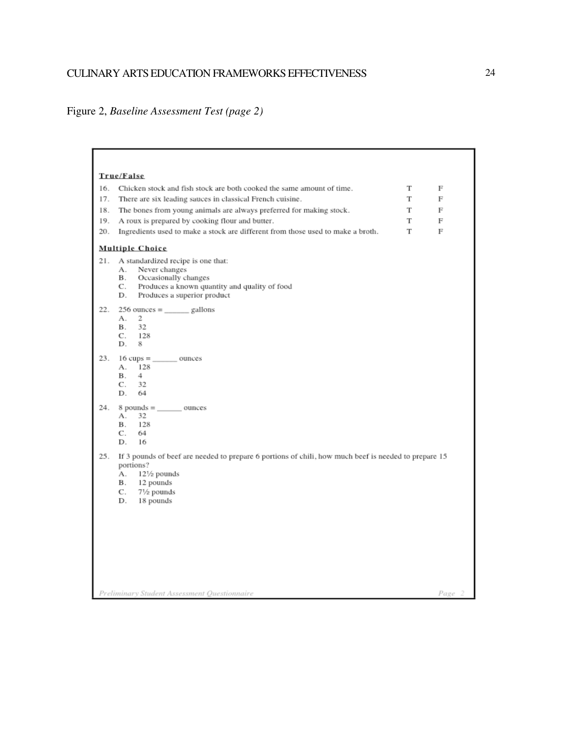## CULINARY ARTS EDUCATION FRAMEWORKS EFFECTIVENESS

# Figure 2, *Baseline Assessment Test (page 2)*

| True/False                                                                                                  |   |        |
|-------------------------------------------------------------------------------------------------------------|---|--------|
| 16.<br>Chicken stock and fish stock are both cooked the same amount of time.                                | т | F      |
| 17.<br>There are six leading sauces in classical French cuisine.                                            | T | F      |
| 18.<br>The bones from young animals are always preferred for making stock.                                  | T | F      |
| 19.<br>A roux is prepared by cooking flour and butter.                                                      | T | F      |
| 20.<br>Ingredients used to make a stock are different from those used to make a broth.                      | Т | F      |
| <b>Multiple Choice</b>                                                                                      |   |        |
| 21.<br>A standardized recipe is one that:                                                                   |   |        |
| Never changes<br>А.                                                                                         |   |        |
| Occasionally changes<br>В.<br>Produces a known quantity and quality of food<br>C.                           |   |        |
| Produces a superior product<br>D.                                                                           |   |        |
| 22.<br>$256$ ounces = ______ gallons                                                                        |   |        |
| 2<br>А.<br>32                                                                                               |   |        |
| В.<br>128<br>C.                                                                                             |   |        |
| 8<br>D.                                                                                                     |   |        |
| 23.                                                                                                         |   |        |
| 128<br>А.                                                                                                   |   |        |
| 4<br>В.<br>C.<br>32                                                                                         |   |        |
| D.<br>64                                                                                                    |   |        |
| $8$ pounds = __________ ounces<br>24.                                                                       |   |        |
| А.<br>32                                                                                                    |   |        |
| В.<br>128<br>64<br>C.                                                                                       |   |        |
| 16<br>D.                                                                                                    |   |        |
| 25.<br>If 3 pounds of beef are needed to prepare 6 portions of chili, how much beef is needed to prepare 15 |   |        |
| portions?                                                                                                   |   |        |
| $12\frac{1}{2}$ pounds<br>А.<br>В.<br>12 pounds                                                             |   |        |
| 7½ pounds<br>C.                                                                                             |   |        |
| D.<br>18 pounds                                                                                             |   |        |
|                                                                                                             |   |        |
|                                                                                                             |   |        |
|                                                                                                             |   |        |
|                                                                                                             |   |        |
|                                                                                                             |   |        |
|                                                                                                             |   |        |
| Preliminary Student Assessment Questionnaire                                                                |   | Page 2 |